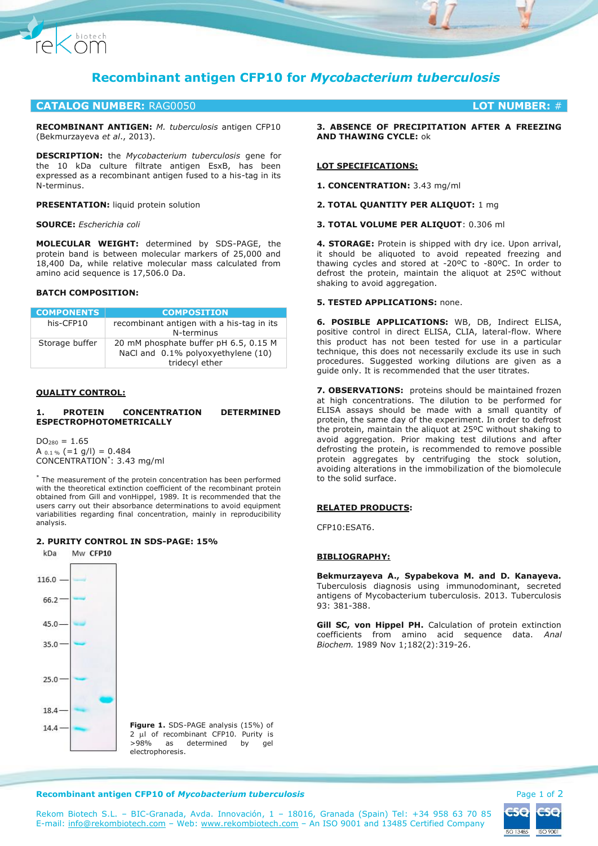

# **CATALOG NUMBER:** RAG0050 **LOT NUMBER:** #

**RECOMBINANT ANTIGEN:** *M. tuberculosis* antigen CFP10 (Bekmurzayeva *et al*., 2013).

**DESCRIPTION:** the *Mycobacterium tuberculosis* gene for the 10 kDa culture filtrate antigen EsxB, has been expressed as a recombinant antigen fused to a his-tag in its N-terminus.

**PRESENTATION:** liquid protein solution

### **SOURCE:** *Escherichia coli*

Chiotech

**MOLECULAR WEIGHT:** determined by SDS-PAGE, the protein band is between molecular markers of 25,000 and 18,400 Da, while relative molecular mass calculated from amino acid sequence is 17,506.0 Da.

# **BATCH COMPOSITION:**

| <b>COMPONENTS</b> | <b>COMPOSITION</b>                                                                            |
|-------------------|-----------------------------------------------------------------------------------------------|
| his-CFP10         | recombinant antigen with a his-tag in its<br>N-terminus                                       |
| Storage buffer    | 20 mM phosphate buffer pH 6.5, 0.15 M<br>NaCl and 0.1% polyoxyethylene (10)<br>tridecyl ether |

## **QUALITY CONTROL:**

### **1. PROTEIN CONCENTRATION DETERMINED ESPECTROPHOTOMETRICALLY**

 $DO<sub>280</sub> = 1.65$ A  $_{0.1\%}$  (=1 g/l) = 0.484 CONCENTRATION\* : 3.43 mg/ml

\* The measurement of the protein concentration has been performed with the theoretical extinction coefficient of the recombinant protein obtained from Gill and vonHippel, 1989. It is recommended that the users carry out their absorbance determinations to avoid equipment variabilities regarding final concentration, mainly in reproducibility analysis.

#### **2. PURITY CONTROL IN SDS-PAGE: 15%**



**Figure 1.** SDS-PAGE analysis (15%) of  $2 \mu$  of recombinant CFP10. Purity is >98% as determined by gel electrophoresis.

**3. ABSENCE OF PRECIPITATION AFTER A FREEZING AND THAWING CYCLE:** ok

#### **LOT SPECIFICATIONS:**

**1. CONCENTRATION:** 3.43 mg/ml

**2. TOTAL QUANTITY PER ALIQUOT:** 1 mg

**3. TOTAL VOLUME PER ALIQUOT**: 0.306 ml

**4. STORAGE:** Protein is shipped with dry ice. Upon arrival, it should be aliquoted to avoid repeated freezing and thawing cycles and stored at -20ºC to -80ºC. In order to defrost the protein, maintain the aliquot at 25ºC without shaking to avoid aggregation.

# **5. TESTED APPLICATIONS:** none.

**6. POSIBLE APPLICATIONS:** WB, DB, Indirect ELISA, positive control in direct ELISA, CLIA, lateral-flow. Where this product has not been tested for use in a particular technique, this does not necessarily exclude its use in such procedures. Suggested working dilutions are given as a guide only. It is recommended that the user titrates.

**7. OBSERVATIONS:** proteins should be maintained frozen at high concentrations. The dilution to be performed for ELISA assays should be made with a small quantity of protein, the same day of the experiment. In order to defrost the protein, maintain the aliquot at 25ºC without shaking to avoid aggregation. Prior making test dilutions and after defrosting the protein, is recommended to remove possible protein aggregates by centrifuging the stock solution, avoiding alterations in the immobilization of the biomolecule to the solid surface.

#### **RELATED PRODUCTS:**

CFP10:ESAT6.

# **BIBLIOGRAPHY:**

**Bekmurzayeva A., Sypabekova M. and D. Kanayeva.**  Tuberculosis diagnosis using immunodominant, secreted antigens of Mycobacterium tuberculosis. 2013. Tuberculosis 93: 381-388.

**Gill SC, von Hippel PH.** Calculation of protein extinction coefficients from amino acid sequence data. *Anal Biochem.* 1989 Nov 1;182(2):319-26.

#### **Recombinant antigen CFP10 of** *Mycobacterium tuberculosis* **Page 1 of 2 and 2 and 2 and 2 and 2 and 2 and 2 and 2 and 2 and 2 and 2 and 2 and 2 and 2 and 2 and 2 and 2 and 2 and 2 and 2 and 2 and 2 and 2 and 2 and 2 and 2 a**



Rekom Biotech S.L. – BIC-Granada, Avda. Innovación, 1 – 18016, Granada (Spain) Tel: +34 958 63 70 85 E-mail: [info@rekombiotech.com](mailto:info@rekombiotech.com) – Web: [www.rekombiotech.com](file:///D:/Dropbox/Rekom/pdfs/www.rekombiotech.com) – An ISO 9001 and 13485 Certified Company